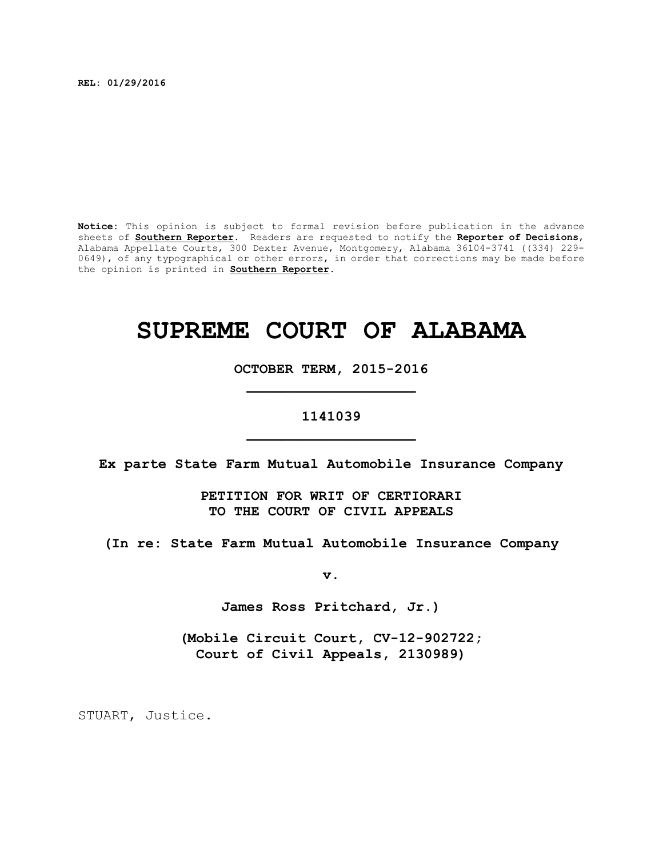**REL: 01/29/2016**

**Notice:** This opinion is subject to formal revision before publication in the advance sheets of **Southern Reporter**. Readers are requested to notify the **Reporter of Decisions**, Alabama Appellate Courts, 300 Dexter Avenue, Montgomery, Alabama 36104-3741 ((334) 229- 0649), of any typographical or other errors, in order that corrections may be made before the opinion is printed in **Southern Reporter**.

# **SUPREME COURT OF ALABAMA**

**OCTOBER TERM, 2015-2016 \_\_\_\_\_\_\_\_\_\_\_\_\_\_\_\_\_\_\_\_**

## **1141039 \_\_\_\_\_\_\_\_\_\_\_\_\_\_\_\_\_\_\_\_**

**Ex parte State Farm Mutual Automobile Insurance Company**

**PETITION FOR WRIT OF CERTIORARI TO THE COURT OF CIVIL APPEALS**

**(In re: State Farm Mutual Automobile Insurance Company**

**v.**

**James Ross Pritchard, Jr.)**

**(Mobile Circuit Court, CV-12-902722; Court of Civil Appeals, 2130989)**

STUART, Justice.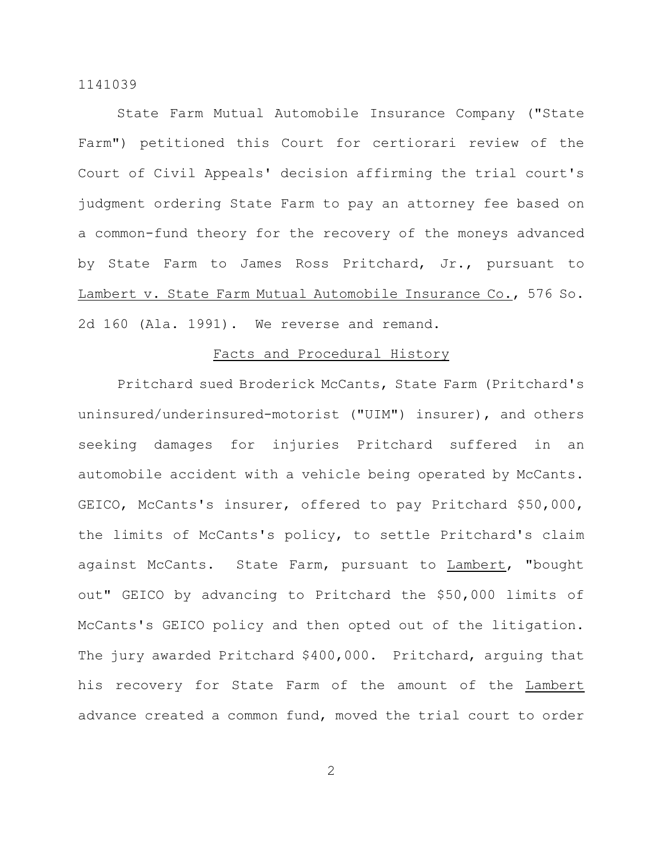State Farm Mutual Automobile Insurance Company ("State Farm") petitioned this Court for certiorari review of the Court of Civil Appeals' decision affirming the trial court's judgment ordering State Farm to pay an attorney fee based on a common-fund theory for the recovery of the moneys advanced by State Farm to James Ross Pritchard, Jr., pursuant to Lambert v. State Farm Mutual Automobile Insurance Co., 576 So. 2d 160 (Ala. 1991). We reverse and remand.

## Facts and Procedural History

Pritchard sued Broderick McCants, State Farm (Pritchard's uninsured/underinsured-motorist ("UIM") insurer), and others seeking damages for injuries Pritchard suffered in an automobile accident with a vehicle being operated by McCants. GEICO, McCants's insurer, offered to pay Pritchard \$50,000, the limits of McCants's policy, to settle Pritchard's claim against McCants. State Farm, pursuant to Lambert, "bought out" GEICO by advancing to Pritchard the \$50,000 limits of McCants's GEICO policy and then opted out of the litigation. The jury awarded Pritchard \$400,000. Pritchard, arguing that his recovery for State Farm of the amount of the Lambert advance created a common fund, moved the trial court to order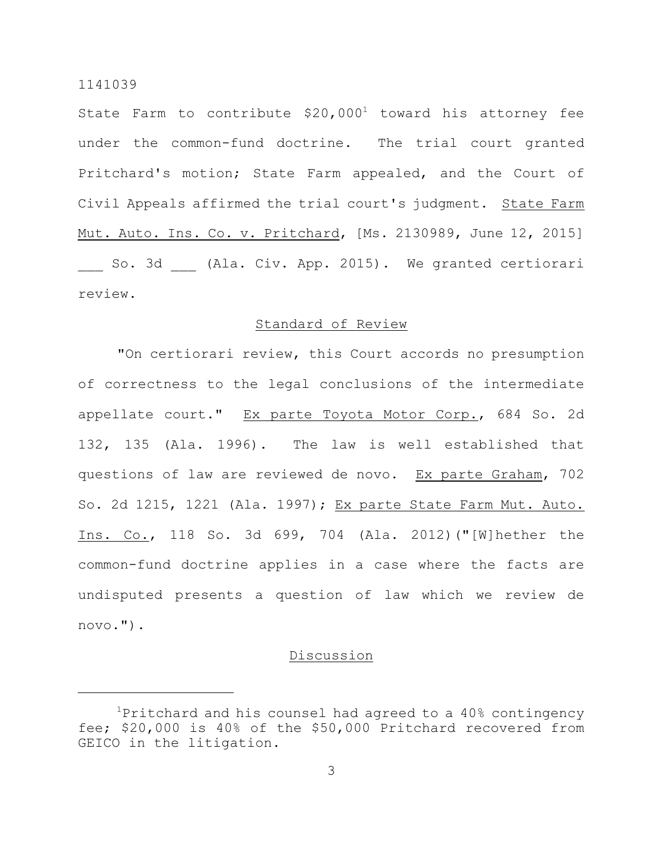State Farm to contribute  $$20,000<sup>1</sup>$  toward his attorney fee under the common-fund doctrine. The trial court granted Pritchard's motion; State Farm appealed, and the Court of Civil Appeals affirmed the trial court's judgment. State Farm Mut. Auto. Ins. Co. v. Pritchard, [Ms. 2130989, June 12, 2015] So. 3d (Ala. Civ. App. 2015). We granted certiorari review.

## Standard of Review

"On certiorari review, this Court accords no presumption of correctness to the legal conclusions of the intermediate appellate court." Ex parte Toyota Motor Corp., 684 So. 2d 132, 135 (Ala. 1996). The law is well established that questions of law are reviewed de novo. Ex parte Graham, 702 So. 2d 1215, 1221 (Ala. 1997); Ex parte State Farm Mut. Auto. Ins. Co., 118 So. 3d 699, 704 (Ala. 2012)("[W]hether the common-fund doctrine applies in a case where the facts are undisputed presents a question of law which we review de novo.").

## Discussion

 $1$ Pritchard and his counsel had agreed to a  $40\%$  contingency fee; \$20,000 is 40% of the \$50,000 Pritchard recovered from GEICO in the litigation.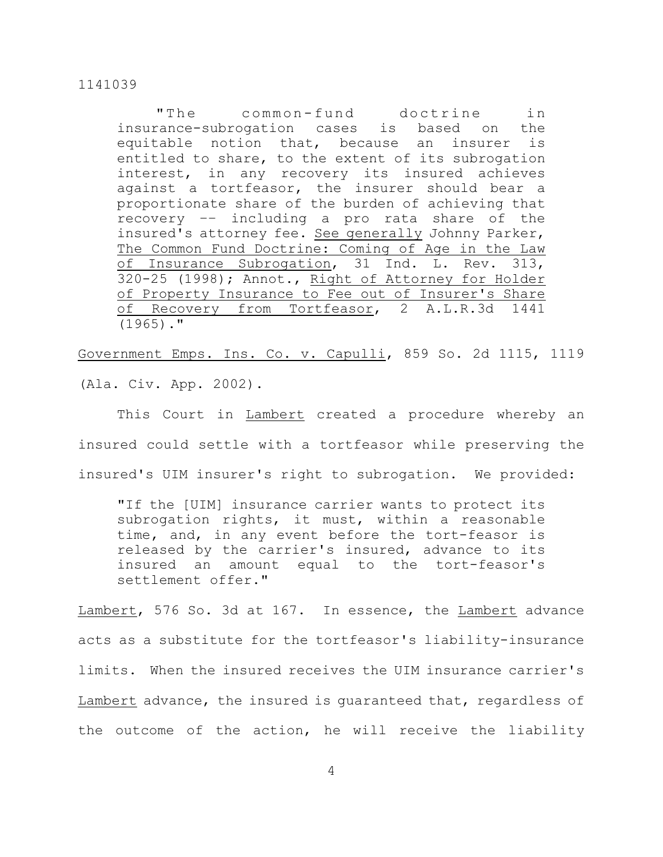"The common-fund doctrine in insurance-subrogation cases is based on the equitable notion that, because an insurer is entitled to share, to the extent of its subrogation interest, in any recovery its insured achieves against a tortfeasor, the insurer should bear a proportionate share of the burden of achieving that recovery –– including a pro rata share of the insured's attorney fee. See generally Johnny Parker, The Common Fund Doctrine: Coming of Age in the Law of Insurance Subrogation, 31 Ind. L. Rev. 313, 320-25 (1998); Annot., Right of Attorney for Holder of Property Insurance to Fee out of Insurer's Share of Recovery from Tortfeasor, 2 A.L.R.3d 1441  $(1965)$ ."

Government Emps. Ins. Co. v. Capulli, 859 So. 2d 1115, 1119 (Ala. Civ. App. 2002).

This Court in Lambert created a procedure whereby an insured could settle with a tortfeasor while preserving the insured's UIM insurer's right to subrogation. We provided:

"If the [UIM] insurance carrier wants to protect its subrogation rights, it must, within a reasonable time, and, in any event before the tort-feasor is released by the carrier's insured, advance to its insured an amount equal to the tort-feasor's settlement offer."

Lambert, 576 So. 3d at 167. In essence, the Lambert advance acts as a substitute for the tortfeasor's liability-insurance limits. When the insured receives the UIM insurance carrier's Lambert advance, the insured is guaranteed that, regardless of the outcome of the action, he will receive the liability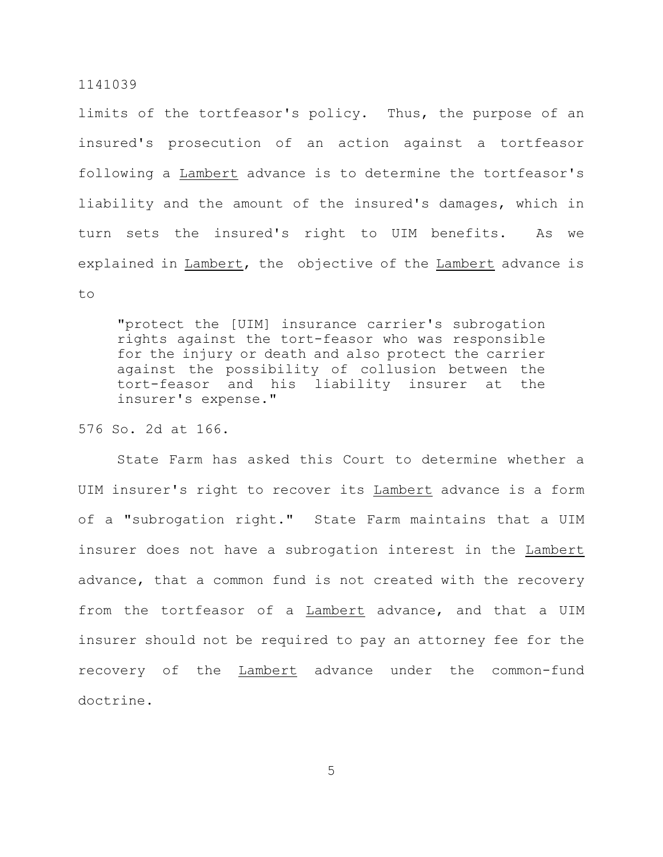limits of the tortfeasor's policy. Thus, the purpose of an insured's prosecution of an action against a tortfeasor following a Lambert advance is to determine the tortfeasor's liability and the amount of the insured's damages, which in turn sets the insured's right to UIM benefits. As we explained in Lambert, the objective of the Lambert advance is to

"protect the [UIM] insurance carrier's subrogation rights against the tort-feasor who was responsible for the injury or death and also protect the carrier against the possibility of collusion between the tort-feasor and his liability insurer at the insurer's expense."

## 576 So. 2d at 166.

State Farm has asked this Court to determine whether a UIM insurer's right to recover its Lambert advance is a form of a "subrogation right." State Farm maintains that a UIM insurer does not have a subrogation interest in the Lambert advance, that a common fund is not created with the recovery from the tortfeasor of a Lambert advance, and that a UIM insurer should not be required to pay an attorney fee for the recovery of the Lambert advance under the common-fund doctrine.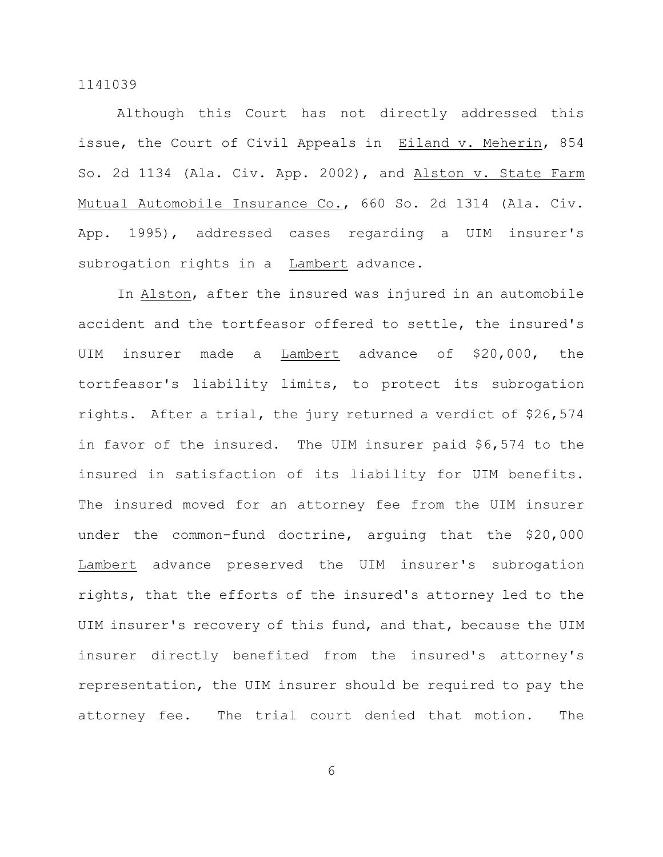Although this Court has not directly addressed this issue, the Court of Civil Appeals in Eiland v. Meherin, 854 So. 2d 1134 (Ala. Civ. App. 2002), and Alston v. State Farm Mutual Automobile Insurance Co., 660 So. 2d 1314 (Ala. Civ. App. 1995), addressed cases regarding a UIM insurer's subrogation rights in a Lambert advance.

In Alston, after the insured was injured in an automobile accident and the tortfeasor offered to settle, the insured's UIM insurer made a Lambert advance of \$20,000, the tortfeasor's liability limits, to protect its subrogation rights. After a trial, the jury returned a verdict of \$26,574 in favor of the insured. The UIM insurer paid \$6,574 to the insured in satisfaction of its liability for UIM benefits. The insured moved for an attorney fee from the UIM insurer under the common-fund doctrine, arguing that the \$20,000 Lambert advance preserved the UIM insurer's subrogation rights, that the efforts of the insured's attorney led to the UIM insurer's recovery of this fund, and that, because the UIM insurer directly benefited from the insured's attorney's representation, the UIM insurer should be required to pay the attorney fee. The trial court denied that motion. The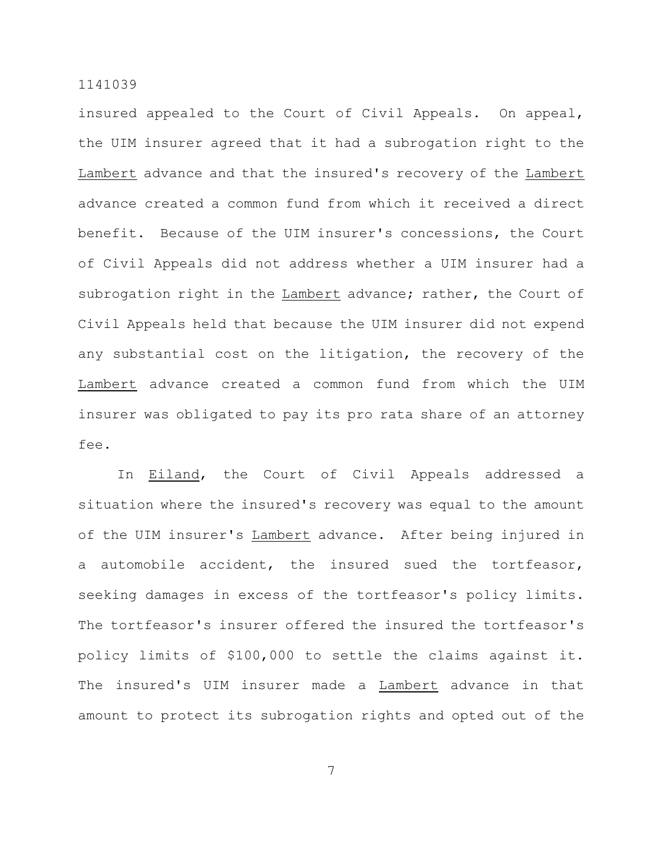insured appealed to the Court of Civil Appeals. On appeal, the UIM insurer agreed that it had a subrogation right to the Lambert advance and that the insured's recovery of the Lambert advance created a common fund from which it received a direct benefit. Because of the UIM insurer's concessions, the Court of Civil Appeals did not address whether a UIM insurer had a subrogation right in the Lambert advance; rather, the Court of Civil Appeals held that because the UIM insurer did not expend any substantial cost on the litigation, the recovery of the Lambert advance created a common fund from which the UIM insurer was obligated to pay its pro rata share of an attorney fee.

In Eiland, the Court of Civil Appeals addressed a situation where the insured's recovery was equal to the amount of the UIM insurer's Lambert advance. After being injured in a automobile accident, the insured sued the tortfeasor, seeking damages in excess of the tortfeasor's policy limits. The tortfeasor's insurer offered the insured the tortfeasor's policy limits of \$100,000 to settle the claims against it. The insured's UIM insurer made a Lambert advance in that amount to protect its subrogation rights and opted out of the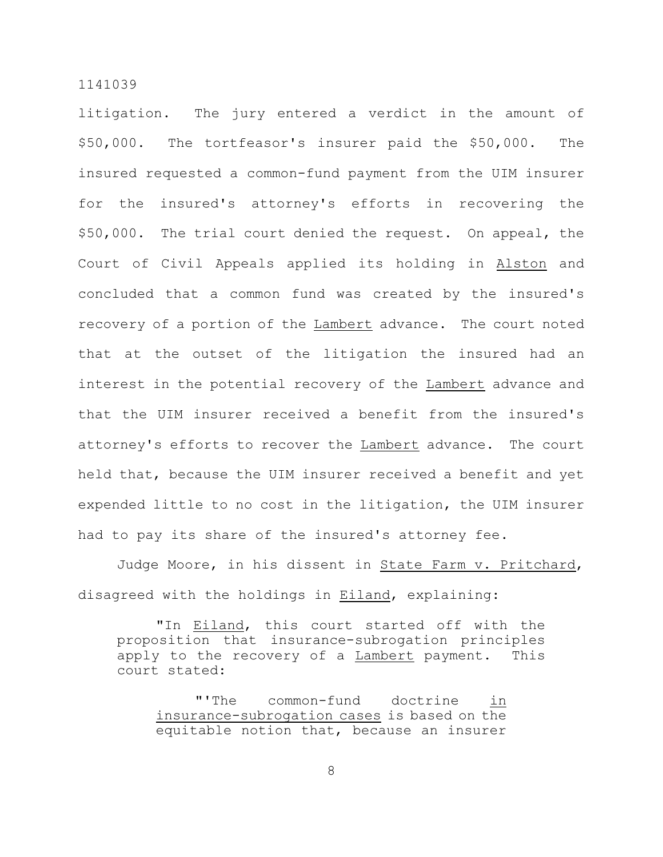litigation. The jury entered a verdict in the amount of \$50,000. The tortfeasor's insurer paid the \$50,000. The insured requested a common-fund payment from the UIM insurer for the insured's attorney's efforts in recovering the \$50,000. The trial court denied the request. On appeal, the Court of Civil Appeals applied its holding in Alston and concluded that a common fund was created by the insured's recovery of a portion of the Lambert advance. The court noted that at the outset of the litigation the insured had an interest in the potential recovery of the Lambert advance and that the UIM insurer received a benefit from the insured's attorney's efforts to recover the Lambert advance. The court held that, because the UIM insurer received a benefit and yet expended little to no cost in the litigation, the UIM insurer had to pay its share of the insured's attorney fee.

Judge Moore, in his dissent in State Farm v. Pritchard, disagreed with the holdings in Eiland, explaining:

"In Eiland, this court started off with the proposition that insurance-subrogation principles apply to the recovery of a Lambert payment. This court stated:

"'The common-fund doctrine in insurance-subrogation cases is based on the equitable notion that, because an insurer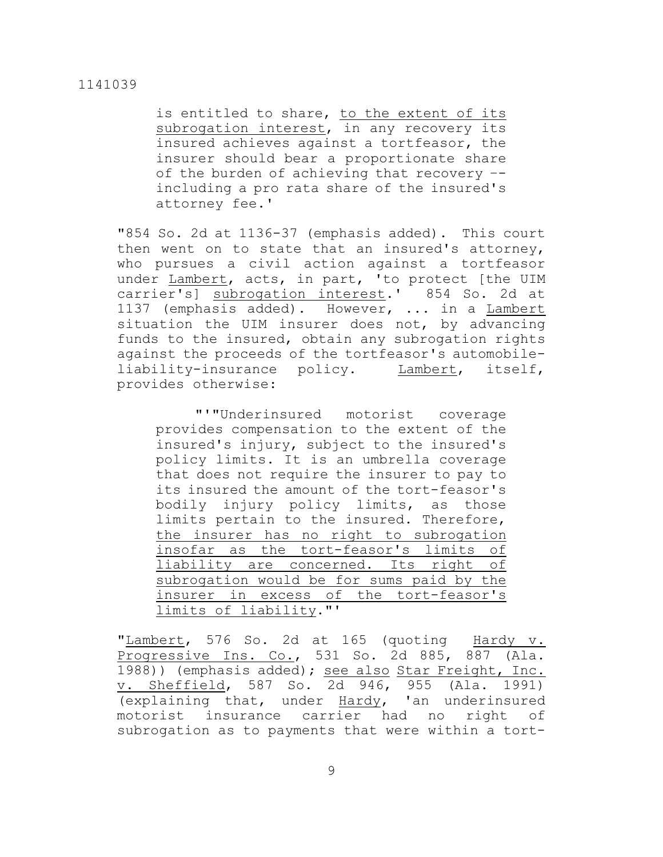is entitled to share, to the extent of its subrogation interest, in any recovery its insured achieves against a tortfeasor, the insurer should bear a proportionate share of the burden of achieving that recovery – including a pro rata share of the insured's attorney fee.'

"854 So. 2d at 1136-37 (emphasis added). This court then went on to state that an insured's attorney, who pursues a civil action against a tortfeasor under Lambert, acts, in part, 'to protect [the UIM carrier's] subrogation interest.' 854 So. 2d at 1137 (emphasis added). However, ... in a Lambert situation the UIM insurer does not, by advancing funds to the insured, obtain any subrogation rights against the proceeds of the tortfeasor's automobileliability-insurance policy. Lambert, itself, provides otherwise:

"'"Underinsured motorist coverage provides compensation to the extent of the insured's injury, subject to the insured's policy limits. It is an umbrella coverage that does not require the insurer to pay to its insured the amount of the tort-feasor's bodily injury policy limits, as those limits pertain to the insured. Therefore, the insurer has no right to subrogation insofar as the tort-feasor's limits of liability are concerned. Its right of subrogation would be for sums paid by the insurer in excess of the tort-feasor's limits of liability."'

"Lambert, 576 So. 2d at 165 (quoting Hardy v. Progressive Ins. Co., 531 So. 2d 885, 887 (Ala. 1988)) (emphasis added); see also Star Freight, Inc. v. Sheffield, 587 So. 2d 946, 955 (Ala. 1991) (explaining that, under Hardy, 'an underinsured motorist insurance carrier had no right of subrogation as to payments that were within a tort-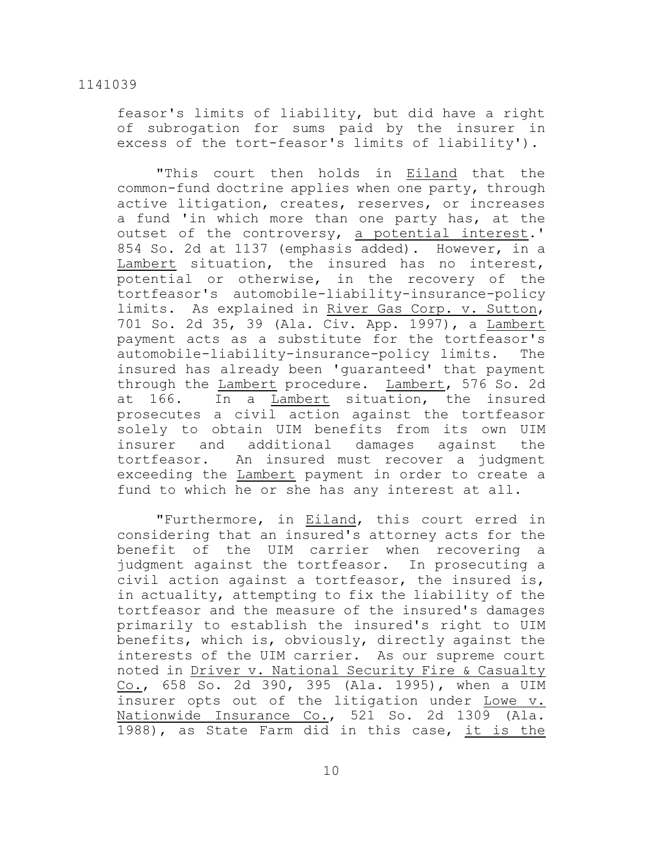feasor's limits of liability, but did have a right of subrogation for sums paid by the insurer in excess of the tort-feasor's limits of liability').

"This court then holds in Eiland that the common-fund doctrine applies when one party, through active litigation, creates, reserves, or increases a fund 'in which more than one party has, at the outset of the controversy, a potential interest.' 854 So. 2d at 1137 (emphasis added). However, in a Lambert situation, the insured has no interest, potential or otherwise, in the recovery of the tortfeasor's automobile-liability-insurance-policy limits. As explained in River Gas Corp. v. Sutton, 701 So. 2d 35, 39 (Ala. Civ. App. 1997), a Lambert payment acts as a substitute for the tortfeasor's automobile-liability-insurance-policy limits. The insured has already been 'guaranteed' that payment through the Lambert procedure. Lambert, 576 So. 2d at 166. In a Lambert situation, the insured prosecutes a civil action against the tortfeasor solely to obtain UIM benefits from its own UIM insurer and additional damages against the tortfeasor. An insured must recover a judgment exceeding the Lambert payment in order to create a fund to which he or she has any interest at all.

"Furthermore, in Eiland, this court erred in considering that an insured's attorney acts for the benefit of the UIM carrier when recovering a judgment against the tortfeasor. In prosecuting a civil action against a tortfeasor, the insured is, in actuality, attempting to fix the liability of the tortfeasor and the measure of the insured's damages primarily to establish the insured's right to UIM benefits, which is, obviously, directly against the interests of the UIM carrier. As our supreme court noted in Driver v. National Security Fire & Casualty Co., 658 So. 2d 390, 395 (Ala. 1995), when a UIM insurer opts out of the litigation under Lowe v. Nationwide Insurance Co., 521 So. 2d 1309 (Ala. 1988), as State Farm did in this case, it is the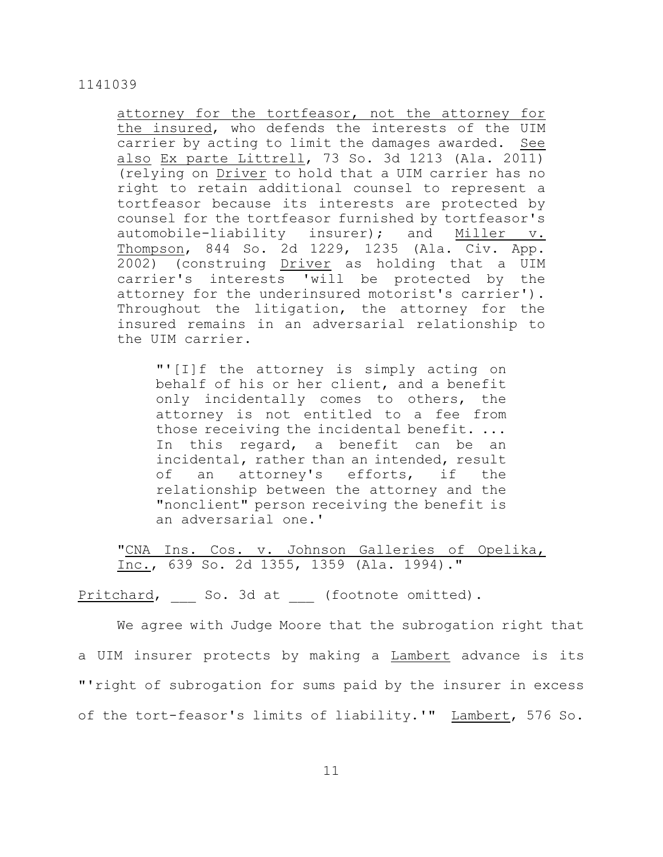attorney for the tortfeasor, not the attorney for the insured, who defends the interests of the UIM carrier by acting to limit the damages awarded. See also Ex parte Littrell, 73 So. 3d 1213 (Ala. 2011) (relying on Driver to hold that a UIM carrier has no right to retain additional counsel to represent a tortfeasor because its interests are protected by counsel for the tortfeasor furnished by tortfeasor's automobile-liability insurer); and Miller v. Thompson, 844 So. 2d 1229, 1235 (Ala. Civ. App. 2002) (construing Driver as holding that a UIM carrier's interests 'will be protected by the attorney for the underinsured motorist's carrier'). Throughout the litigation, the attorney for the insured remains in an adversarial relationship to the UIM carrier.

"'[I]f the attorney is simply acting on behalf of his or her client, and a benefit only incidentally comes to others, the attorney is not entitled to a fee from those receiving the incidental benefit. ... In this regard, a benefit can be an incidental, rather than an intended, result of an attorney's efforts, if the relationship between the attorney and the "nonclient" person receiving the benefit is an adversarial one.'

"CNA Ins. Cos. v. Johnson Galleries of Opelika, Inc., 639 So. 2d 1355, 1359 (Ala. 1994)."

Pritchard, So. 3d at (footnote omitted).

We agree with Judge Moore that the subrogation right that a UIM insurer protects by making a Lambert advance is its "'right of subrogation for sums paid by the insurer in excess of the tort-feasor's limits of liability.'" Lambert, 576 So.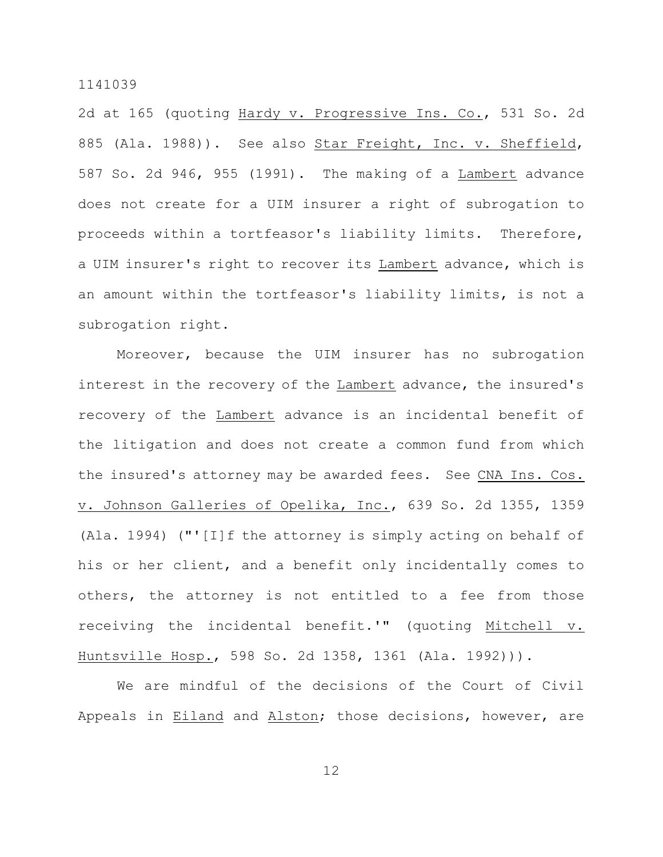2d at 165 (quoting Hardy v. Progressive Ins. Co., 531 So. 2d 885 (Ala. 1988)). See also Star Freight, Inc. v. Sheffield, 587 So. 2d 946, 955 (1991). The making of a Lambert advance does not create for a UIM insurer a right of subrogation to proceeds within a tortfeasor's liability limits. Therefore, a UIM insurer's right to recover its Lambert advance, which is an amount within the tortfeasor's liability limits, is not a subrogation right.

Moreover, because the UIM insurer has no subrogation interest in the recovery of the Lambert advance, the insured's recovery of the Lambert advance is an incidental benefit of the litigation and does not create a common fund from which the insured's attorney may be awarded fees. See CNA Ins. Cos. v. Johnson Galleries of Opelika, Inc., 639 So. 2d 1355, 1359 (Ala. 1994) ("'[I]f the attorney is simply acting on behalf of his or her client, and a benefit only incidentally comes to others, the attorney is not entitled to a fee from those receiving the incidental benefit.'" (quoting Mitchell v. Huntsville Hosp., 598 So. 2d 1358, 1361 (Ala. 1992))).

We are mindful of the decisions of the Court of Civil Appeals in Eiland and Alston; those decisions, however, are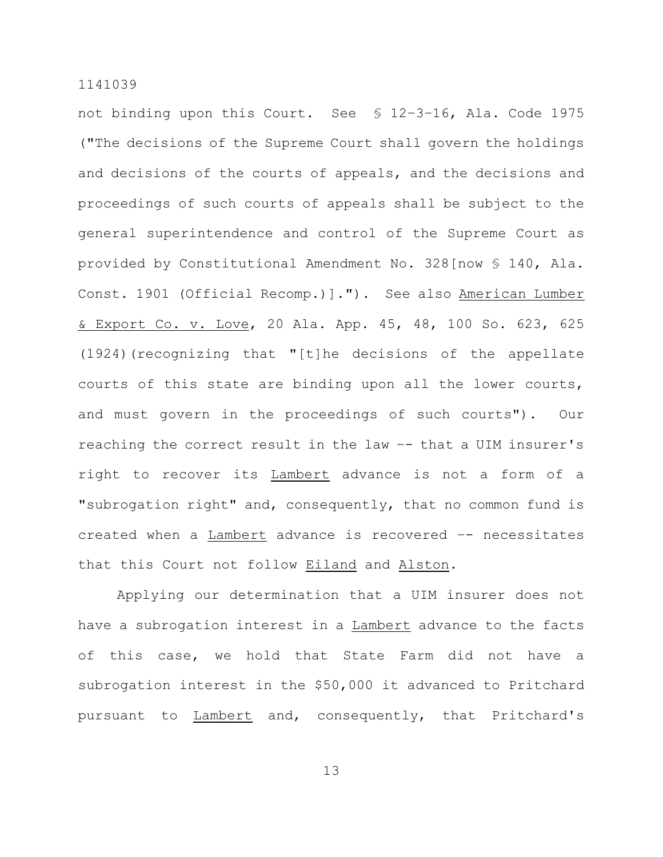not binding upon this Court. See § 12–3–16, Ala. Code 1975 ("The decisions of the Supreme Court shall govern the holdings and decisions of the courts of appeals, and the decisions and proceedings of such courts of appeals shall be subject to the general superintendence and control of the Supreme Court as provided by Constitutional Amendment No. 328[now § 140, Ala. Const. 1901 (Official Recomp.)]."). See also American Lumber & Export Co. v. Love, 20 Ala. App. 45, 48, 100 So. 623, 625 (1924)(recognizing that "[t]he decisions of the appellate courts of this state are binding upon all the lower courts, and must govern in the proceedings of such courts"). Our reaching the correct result in the law –- that a UIM insurer's right to recover its Lambert advance is not a form of a "subrogation right" and, consequently, that no common fund is created when a Lambert advance is recovered –- necessitates that this Court not follow Eiland and Alston.

Applying our determination that a UIM insurer does not have a subrogation interest in a Lambert advance to the facts of this case, we hold that State Farm did not have a subrogation interest in the \$50,000 it advanced to Pritchard pursuant to Lambert and, consequently, that Pritchard's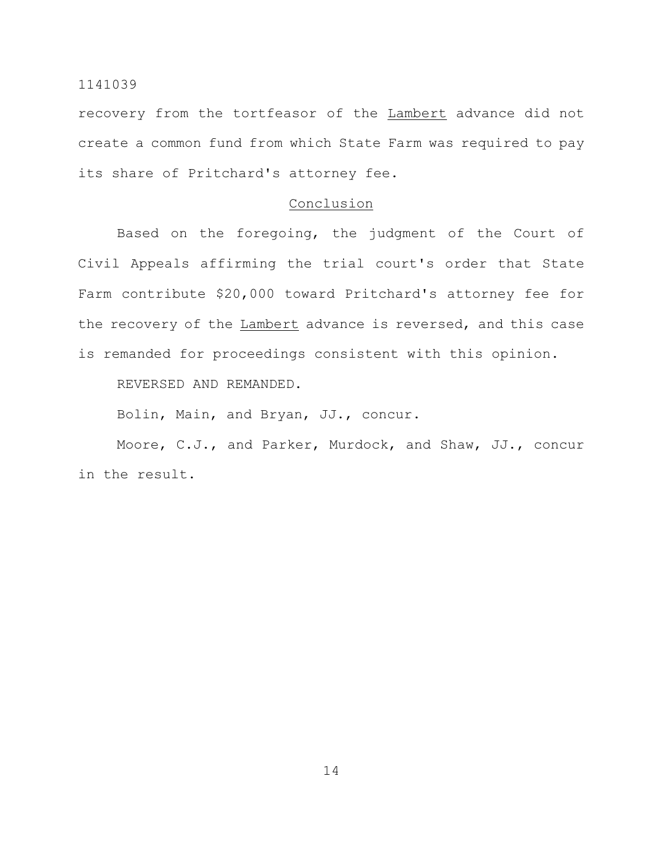recovery from the tortfeasor of the Lambert advance did not create a common fund from which State Farm was required to pay its share of Pritchard's attorney fee.

## Conclusion

Based on the foregoing, the judgment of the Court of Civil Appeals affirming the trial court's order that State Farm contribute \$20,000 toward Pritchard's attorney fee for the recovery of the Lambert advance is reversed, and this case is remanded for proceedings consistent with this opinion.

REVERSED AND REMANDED.

Bolin, Main, and Bryan, JJ., concur.

Moore, C.J., and Parker, Murdock, and Shaw, JJ., concur in the result.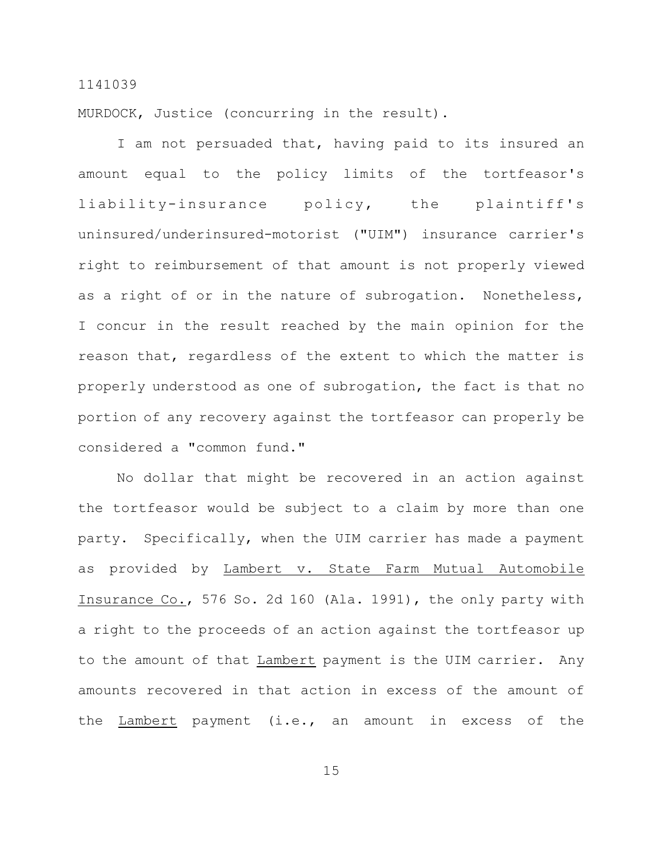MURDOCK, Justice (concurring in the result).

I am not persuaded that, having paid to its insured an amount equal to the policy limits of the tortfeasor's liability-insurance policy, the plaintiff's uninsured/underinsured-motorist ("UIM") insurance carrier's right to reimbursement of that amount is not properly viewed as a right of or in the nature of subrogation. Nonetheless, I concur in the result reached by the main opinion for the reason that, regardless of the extent to which the matter is properly understood as one of subrogation, the fact is that no portion of any recovery against the tortfeasor can properly be considered a "common fund."

No dollar that might be recovered in an action against the tortfeasor would be subject to a claim by more than one party. Specifically, when the UIM carrier has made a payment as provided by Lambert v. State Farm Mutual Automobile Insurance Co., 576 So. 2d 160 (Ala. 1991), the only party with a right to the proceeds of an action against the tortfeasor up to the amount of that Lambert payment is the UIM carrier. Any amounts recovered in that action in excess of the amount of the Lambert payment (i.e., an amount in excess of the